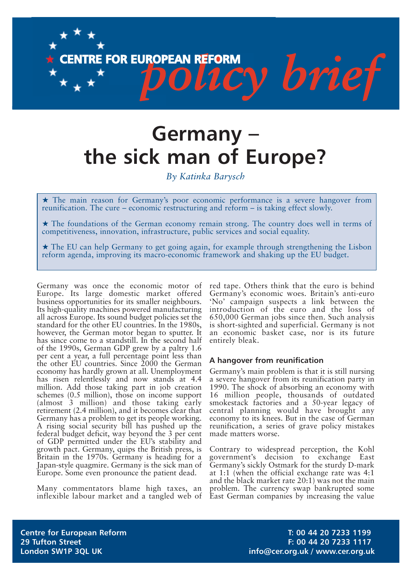

# **Germany – the sick man of Europe?**

*By Katinka Barysch*

★ The main reason for Germany's poor economic performance is a severe hangover from reunification. The cure – economic restructuring and reform – is taking effect slowly.

★ The foundations of the German economy remain strong. The country does well in terms of competitiveness, innovation, infrastructure, public services and social equality.

 $\star$  The EU can help Germany to get going again, for example through strengthening the Lisbon reform agenda, improving its macro-economic framework and shaking up the EU budget.

Germany was once the economic motor of Europe. Its large domestic market offered business opportunities for its smaller neighbours. Its high-quality machines powered manufacturing all across Europe. Its sound budget policies set the standard for the other EU countries. In the 1980s, however, the German motor began to sputter. It has since come to a standstill. In the second half of the 1990s, German GDP grew by a paltry 1.6 per cent a year, a full percentage point less than the other EU countries. Since 2000 the German economy has hardly grown at all. Unemployment has risen relentlessly and now stands at 4.4 million. Add those taking part in job creation schemes (0.5 million), those on income support (almost 3 million) and those taking early retirement (2.4 million), and it becomes clear that Germany has a problem to get its people working. A rising social security bill has pushed up the federal budget deficit, way beyond the 3 per cent of GDP permitted under the EU's stability and growth pact. Germany, quips the British press, is Britain in the 1970s. Germany is heading for a Japan-style quagmire. Germany is the sick man of Europe. Some even pronounce the patient dead.

Many commentators blame high taxes, an inflexible labour market and a tangled web of red tape. Others think that the euro is behind Germany's economic woes. Britain's anti-euro 'No' campaign suspects a link between the introduction of the euro and the loss of 650,000 German jobs since then. Such analysis is short-sighted and superficial. Germany is not an economic basket case, nor is its future entirely bleak.

#### **A hangover from reunification**

Germany's main problem is that it is still nursing a severe hangover from its reunification party in 1990. The shock of absorbing an economy with 16 million people, thousands of outdated smokestack factories and a 50-year legacy of central planning would have brought any economy to its knees. But in the case of German reunification, a series of grave policy mistakes made matters worse.

Contrary to widespread perception, the Kohl government's decision to exchange East Germany's sickly Ostmark for the sturdy D-mark at 1:1 (when the official exchange rate was 4:1 and the black market rate 20:1) was not the main problem. The currency swap bankrupted some East German companies by increasing the value

**Centre for European Reform T: 00 44 20 7233 1199 29 Tufton Street F: 00 44 20 7233 1117** London SW1P 3QL UK **info@cer.org.uk / www.cer.org.uk**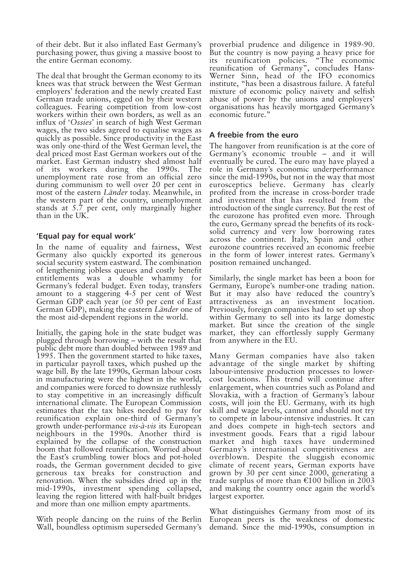of their debt. But it also inflated East Germany's purchasing power, thus giving a massive boost to the entire German economy.

The deal that brought the German economy to its knees was that struck between the West German employers' federation and the newly created East German trade unions, egged on by their western colleagues. Fearing competition from low-cost workers within their own borders, as well as an influx of '*Ossies*' in search of high West German wages, the two sides agreed to equalise wages as quickly as possible. Since productivity in the East was only one-third of the West German level, the deal priced most East German workers out of the market. East German industry shed almost half of its workers during the 1990s. The unemployment rate rose from an official zero during communism to well over 20 per cent in most of the eastern *Länder* today. Meanwhile, in the western part of the country, unemployment stands at 5.7 per cent, only marginally higher than in the UK.

## **'Equal pay for equal work'**

In the name of equality and fairness, West Germany also quickly exported its generous social security system eastward. The combination of lengthening jobless queues and costly benefit entitlements was a double whammy for Germany's federal budget. Even today, transfers amount to a staggering 4-5 per cent of West German GDP each year (or 50 per cent of East German GDP), making the eastern *Länder* one of the most aid-dependent regions in the world.

Initially, the gaping hole in the state budget was plugged through borrowing – with the result that public debt more than doubled between 1989 and 1995. Then the government started to hike taxes, in particular payroll taxes, which pushed up the wage bill. By the late 1990s, German labour costs in manufacturing were the highest in the world, and companies were forced to downsize ruthlessly to stay competitive in an increasingly difficult international climate. The European Commission estimates that the tax hikes needed to pay for reunification explain one-third of Germany's growth under-performance *vis-à-vis* its European neighbours in the 1990s. Another third is explained by the collapse of the construction boom that followed reunification. Worried about the East's crumbling tower blocs and pot-holed roads, the German government decided to give generous tax breaks for construction and renovation. When the subsidies dried up in the mid-1990s, investment spending collapsed, leaving the region littered with half-built bridges and more than one million empty apartments.

With people dancing on the ruins of the Berlin Wall, boundless optimism superseded Germany's

proverbial prudence and diligence in 1989-90. But the country is now paying a heavy price for<br>its reunification policies. "The economic its reunification policies. "The economic reunification of Germany", concludes Hans-Werner Sinn, head of the IFO economics institute, "has been a disastrous failure. A fateful mixture of economic policy naivety and selfish abuse of power by the unions and employers' organisations has heavily mortgaged Germany's economic future."

## **A freebie from the euro**

The hangover from reunification is at the core of Germany's economic trouble – and it will eventually be cured. The euro may have played a role in Germany's economic underperformance since the mid-1990s, but not in the way that most eurosceptics believe. Germany has clearly profited from the increase in cross-border trade and investment that has resulted from the introduction of the single currency. But the rest of the eurozone has profited even more. Through the euro, Germany spread the benefits of its rocksolid currency and very low borrowing rates across the continent. Italy, Spain and other eurozone countries received an economic freebie in the form of lower interest rates. Germany's position remained unchanged.

Similarly, the single market has been a boon for Germany, Europe's number-one trading nation. But it may also have reduced the country's attractiveness as an investment location. Previously, foreign companies had to set up shop within Germany to sell into its large domestic market. But since the creation of the single market, they can effortlessly supply Germany from anywhere in the EU.

Many German companies have also taken advantage of the single market by shifting labour-intensive production processes to lowercost locations. This trend will continue after enlargement, when countries such as Poland and Slovakia, with a fraction of Germany's labour costs, will join the EU. Germany, with its high skill and wage levels, cannot and should not try to compete in labour-intensive industries. It can and does compete in high-tech sectors and investment goods. Fears that a rigid labour market and high taxes have undermined Germany's international competitiveness are overblown. Despite the sluggish economic climate of recent years, German exports have grown by 30 per cent since 2000, generating a trade surplus of more than  $\epsilon$ 100 billion in 2003 and making the country once again the world's largest exporter.

What distinguishes Germany from most of its European peers is the weakness of domestic demand. Since the mid-1990s, consumption in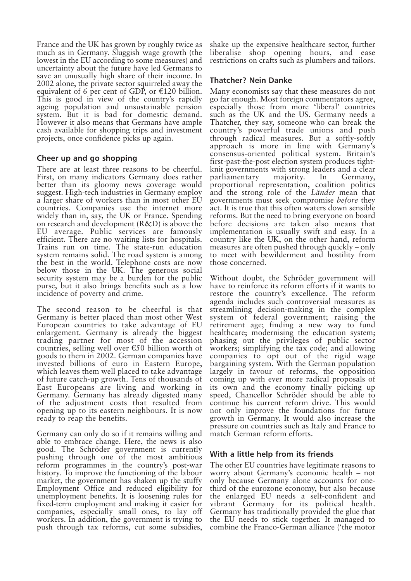France and the UK has grown by roughly twice as much as in Germany. Sluggish wage growth (the lowest in the EU according to some measures) and uncertainty about the future have led Germans to save an unusually high share of their income. In 2002 alone, the private sector squirreled away the equivalent of 6 per cent of GDP, or  $E120$  billion. This is good in view of the country's rapidly ageing population and unsustainable pension system. But it is bad for domestic demand. However it also means that Germans have ample cash available for shopping trips and investment projects, once confidence picks up again.

## **Cheer up and go shopping**

There are at least three reasons to be cheerful. First, on many indicators Germany does rather better than its gloomy news coverage would suggest. High-tech industries in Germany employ a larger share of workers than in most other EU countries. Companies use the internet more widely than in, say, the UK or France. Spending on research and development (R&D) is above the EU average. Public services are famously efficient. There are no waiting lists for hospitals. Trains run on time. The state-run education system remains solid. The road system is among the best in the world. Telephone costs are now below those in the UK. The generous social security system may be a burden for the public purse, but it also brings benefits such as a low incidence of poverty and crime.

The second reason to be cheerful is that Germany is better placed than most other West European countries to take advantage of EU enlargement. Germany is already the biggest trading partner for most of the accession countries, selling well over  $\epsilon$ 50 billion worth of goods to them in 2002. German companies have invested billions of euro in Eastern Europe, which leaves them well placed to take advantage of future catch-up growth. Tens of thousands of East Europeans are living and working in Germany. Germany has already digested many of the adjustment costs that resulted from opening up to its eastern neighbours. It is now ready to reap the benefits.

Germany can only do so if it remains willing and able to embrace change. Here, the news is also good. The Schröder government is currently pushing through one of the most ambitious reform programmes in the country's post-war history. To improve the functioning of the labour market, the government has shaken up the stuffy Employment Office and reduced eligibility for unemployment benefits. It is loosening rules for fixed-term employment and making it easier for companies, especially small ones, to lay off workers. In addition, the government is trying to push through tax reforms, cut some subsidies,

shake up the expensive healthcare sector, further liberalise shop opening hours, and ease restrictions on crafts such as plumbers and tailors.

## **Thatcher? Nein Danke**

Many economists say that these measures do not go far enough. Most foreign commentators agree, especially those from more 'liberal' countries such as the UK and the US. Germany needs a Thatcher, they say, someone who can break the country's powerful trade unions and push through radical measures. But a softly-softly approach is more in line with Germany's consensus-oriented political system. Britain's first-past-the-post election system produces tightknit governments with strong leaders and a clear parliamentary majority. In Germany, proportional representation, coalition politics and the strong role of the *Länder* mean that governments must seek compromise *before* they act. It is true that this often waters down sensible reforms. But the need to bring everyone on board before decisions are taken also means that implementation is usually swift and easy. In a country like the UK, on the other hand, reform measures are often pushed through quickly – only to meet with bewilderment and hostility from those concerned.

Without doubt, the Schröder government will have to reinforce its reform efforts if it wants to restore the country's excellence. The reform agenda includes such controversial measures as streamlining decision-making in the complex system of federal government; raising the retirement age; finding a new way to fund healthcare; modernising the education system; phasing out the privileges of public sector workers; simplifying the tax code; and allowing companies to opt out of the rigid wage bargaining system. With the German population largely in favour of reforms, the opposition coming up with ever more radical proposals of its own and the economy finally picking up speed, Chancellor Schröder should be able to continue his current reform drive. This would not only improve the foundations for future growth in Germany. It would also increase the pressure on countries such as Italy and France to match German reform efforts.

#### **With a little help from its friends**

The other EU countries have legitimate reasons to worry about Germany's economic health – not only because Germany alone accounts for onethird of the eurozone economy, but also because the enlarged EU needs a self-confident and vibrant Germany for its political health. Germany has traditionally provided the glue that the EU needs to stick together. It managed to combine the Franco-German alliance ('the motor